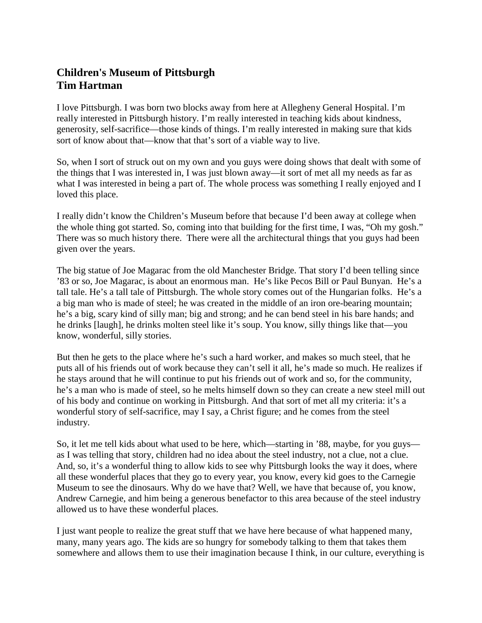## **Children's Museum of Pittsburgh Tim Hartman**

I love Pittsburgh. I was born two blocks away from here at Allegheny General Hospital. I'm really interested in Pittsburgh history. I'm really interested in teaching kids about kindness, generosity, self-sacrifice—those kinds of things. I'm really interested in making sure that kids sort of know about that—know that that's sort of a viable way to live.

So, when I sort of struck out on my own and you guys were doing shows that dealt with some of the things that I was interested in, I was just blown away—it sort of met all my needs as far as what I was interested in being a part of. The whole process was something I really enjoyed and I loved this place.

I really didn't know the Children's Museum before that because I'd been away at college when the whole thing got started. So, coming into that building for the first time, I was, "Oh my gosh." There was so much history there. There were all the architectural things that you guys had been given over the years.

The big statue of Joe Magarac from the old Manchester Bridge. That story I'd been telling since '83 or so, Joe Magarac, is about an enormous man. He's like Pecos Bill or Paul Bunyan. He's a tall tale. He's a tall tale of Pittsburgh. The whole story comes out of the Hungarian folks. He's a a big man who is made of steel; he was created in the middle of an iron ore-bearing mountain; he's a big, scary kind of silly man; big and strong; and he can bend steel in his bare hands; and he drinks [laugh], he drinks molten steel like it's soup. You know, silly things like that—you know, wonderful, silly stories.

But then he gets to the place where he's such a hard worker, and makes so much steel, that he puts all of his friends out of work because they can't sell it all, he's made so much. He realizes if he stays around that he will continue to put his friends out of work and so, for the community, he's a man who is made of steel, so he melts himself down so they can create a new steel mill out of his body and continue on working in Pittsburgh. And that sort of met all my criteria: it's a wonderful story of self-sacrifice, may I say, a Christ figure; and he comes from the steel industry.

So, it let me tell kids about what used to be here, which—starting in '88, maybe, for you guys as I was telling that story, children had no idea about the steel industry, not a clue, not a clue. And, so, it's a wonderful thing to allow kids to see why Pittsburgh looks the way it does, where all these wonderful places that they go to every year, you know, every kid goes to the Carnegie Museum to see the dinosaurs. Why do we have that? Well, we have that because of, you know, Andrew Carnegie, and him being a generous benefactor to this area because of the steel industry allowed us to have these wonderful places.

I just want people to realize the great stuff that we have here because of what happened many, many, many years ago. The kids are so hungry for somebody talking to them that takes them somewhere and allows them to use their imagination because I think, in our culture, everything is